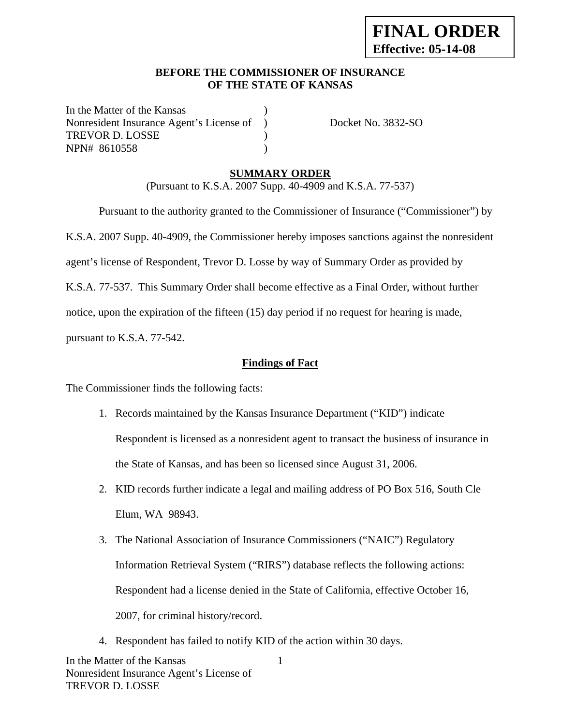### **BEFORE THE COMMISSIONER OF INSURANCE OF THE STATE OF KANSAS**

In the Matter of the Kansas Nonresident Insurance Agent's License of ) Docket No. 3832-SO TREVOR D. LOSSE (1999) NPN# 8610558 )

# **SUMMARY ORDER**

(Pursuant to K.S.A. 2007 Supp. 40-4909 and K.S.A. 77-537)

 Pursuant to the authority granted to the Commissioner of Insurance ("Commissioner") by K.S.A. 2007 Supp. 40-4909, the Commissioner hereby imposes sanctions against the nonresident agent's license of Respondent, Trevor D. Losse by way of Summary Order as provided by K.S.A. 77-537. This Summary Order shall become effective as a Final Order, without further notice, upon the expiration of the fifteen (15) day period if no request for hearing is made, pursuant to K.S.A. 77-542.

**Findings of Fact**

The Commissioner finds the following facts:

- 1. Records maintained by the Kansas Insurance Department ("KID") indicate Respondent is licensed as a nonresident agent to transact the business of insurance in the State of Kansas, and has been so licensed since August 31, 2006.
- 2. KID records further indicate a legal and mailing address of PO Box 516, South Cle Elum, WA 98943.
- 3. The National Association of Insurance Commissioners ("NAIC") Regulatory Information Retrieval System ("RIRS") database reflects the following actions: Respondent had a license denied in the State of California, effective October 16, 2007, for criminal history/record.

1

4. Respondent has failed to notify KID of the action within 30 days.

In the Matter of the Kansas Nonresident Insurance Agent's License of TREVOR D. LOSSE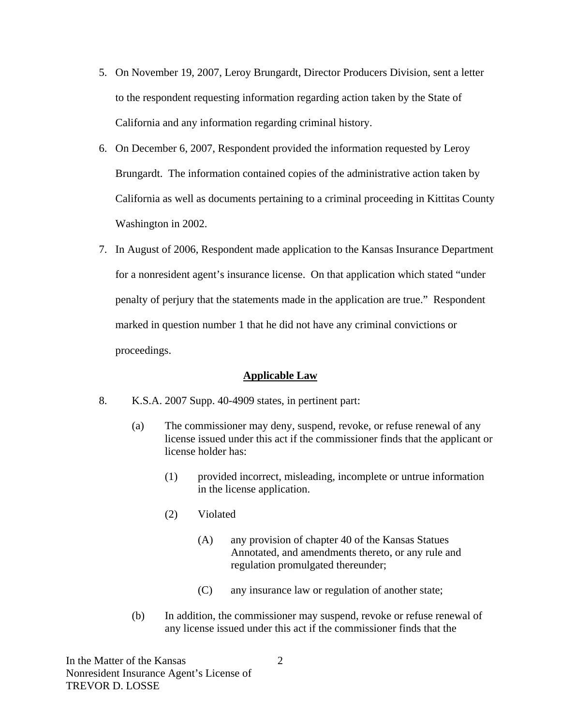- 5. On November 19, 2007, Leroy Brungardt, Director Producers Division, sent a letter to the respondent requesting information regarding action taken by the State of California and any information regarding criminal history.
- 6. On December 6, 2007, Respondent provided the information requested by Leroy Brungardt. The information contained copies of the administrative action taken by California as well as documents pertaining to a criminal proceeding in Kittitas County Washington in 2002.
- 7. In August of 2006, Respondent made application to the Kansas Insurance Department for a nonresident agent's insurance license. On that application which stated "under penalty of perjury that the statements made in the application are true." Respondent marked in question number 1 that he did not have any criminal convictions or proceedings.

### **Applicable Law**

- 8. K.S.A. 2007 Supp. 40-4909 states, in pertinent part:
	- (a) The commissioner may deny, suspend, revoke, or refuse renewal of any license issued under this act if the commissioner finds that the applicant or license holder has:
		- (1) provided incorrect, misleading, incomplete or untrue information in the license application.
		- (2) Violated
			- (A) any provision of chapter 40 of the Kansas Statues Annotated, and amendments thereto, or any rule and regulation promulgated thereunder;
			- (C) any insurance law or regulation of another state;
	- (b) In addition, the commissioner may suspend, revoke or refuse renewal of any license issued under this act if the commissioner finds that the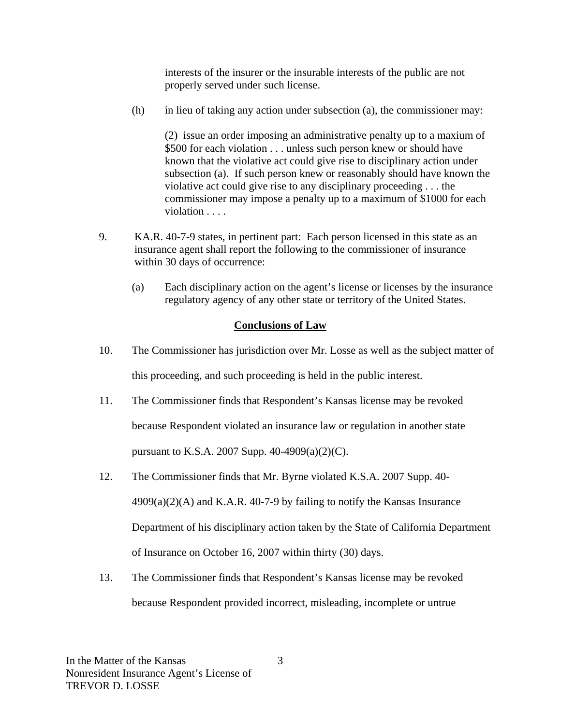interests of the insurer or the insurable interests of the public are not properly served under such license.

(h) in lieu of taking any action under subsection (a), the commissioner may:

(2) issue an order imposing an administrative penalty up to a maxium of \$500 for each violation . . . unless such person knew or should have known that the violative act could give rise to disciplinary action under subsection (a). If such person knew or reasonably should have known the violative act could give rise to any disciplinary proceeding . . . the commissioner may impose a penalty up to a maximum of \$1000 for each violation . . . .

- 9. KA.R. 40-7-9 states, in pertinent part: Each person licensed in this state as an insurance agent shall report the following to the commissioner of insurance within 30 days of occurrence:
	- (a) Each disciplinary action on the agent's license or licenses by the insurance regulatory agency of any other state or territory of the United States.

### **Conclusions of Law**

- 10. The Commissioner has jurisdiction over Mr. Losse as well as the subject matter of this proceeding, and such proceeding is held in the public interest.
- 11. The Commissioner finds that Respondent's Kansas license may be revoked because Respondent violated an insurance law or regulation in another state pursuant to K.S.A. 2007 Supp. 40-4909(a)(2)(C).
- 12. The Commissioner finds that Mr. Byrne violated K.S.A. 2007 Supp. 40-  $4909(a)(2)(A)$  and K.A.R.  $40-7-9$  by failing to notify the Kansas Insurance Department of his disciplinary action taken by the State of California Department of Insurance on October 16, 2007 within thirty (30) days.
- 13. The Commissioner finds that Respondent's Kansas license may be revoked because Respondent provided incorrect, misleading, incomplete or untrue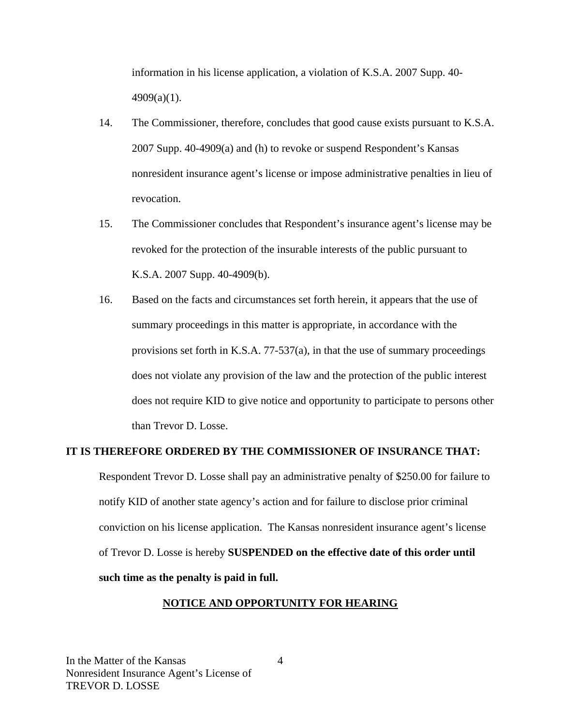information in his license application, a violation of K.S.A. 2007 Supp. 40-  $4909(a)(1)$ .

- 14. The Commissioner, therefore, concludes that good cause exists pursuant to K.S.A. 2007 Supp. 40-4909(a) and (h) to revoke or suspend Respondent's Kansas nonresident insurance agent's license or impose administrative penalties in lieu of revocation.
- 15. The Commissioner concludes that Respondent's insurance agent's license may be revoked for the protection of the insurable interests of the public pursuant to K.S.A. 2007 Supp. 40-4909(b).
- 16. Based on the facts and circumstances set forth herein, it appears that the use of summary proceedings in this matter is appropriate, in accordance with the provisions set forth in K.S.A. 77-537(a), in that the use of summary proceedings does not violate any provision of the law and the protection of the public interest does not require KID to give notice and opportunity to participate to persons other than Trevor D. Losse.

## **IT IS THEREFORE ORDERED BY THE COMMISSIONER OF INSURANCE THAT:**

Respondent Trevor D. Losse shall pay an administrative penalty of \$250.00 for failure to notify KID of another state agency's action and for failure to disclose prior criminal conviction on his license application. The Kansas nonresident insurance agent's license of Trevor D. Losse is hereby **SUSPENDED on the effective date of this order until such time as the penalty is paid in full.** 

### **NOTICE AND OPPORTUNITY FOR HEARING**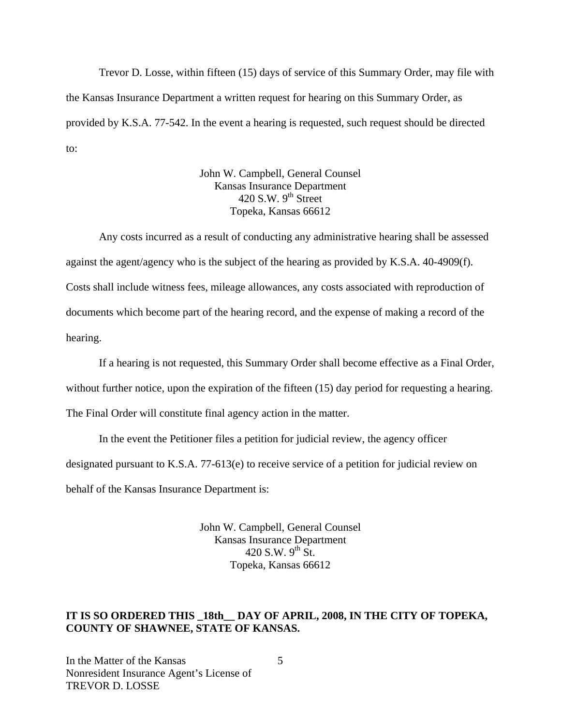Trevor D. Losse, within fifteen (15) days of service of this Summary Order, may file with the Kansas Insurance Department a written request for hearing on this Summary Order, as provided by K.S.A. 77-542. In the event a hearing is requested, such request should be directed to:

> John W. Campbell, General Counsel Kansas Insurance Department 420 S.W.  $9^{th}$  Street Topeka, Kansas 66612

Any costs incurred as a result of conducting any administrative hearing shall be assessed against the agent/agency who is the subject of the hearing as provided by K.S.A. 40-4909(f). Costs shall include witness fees, mileage allowances, any costs associated with reproduction of documents which become part of the hearing record, and the expense of making a record of the hearing.

If a hearing is not requested, this Summary Order shall become effective as a Final Order,

without further notice, upon the expiration of the fifteen (15) day period for requesting a hearing.

The Final Order will constitute final agency action in the matter.

In the event the Petitioner files a petition for judicial review, the agency officer

designated pursuant to K.S.A. 77-613(e) to receive service of a petition for judicial review on

behalf of the Kansas Insurance Department is:

John W. Campbell, General Counsel Kansas Insurance Department 420 S.W.  $9^{th}$  St. Topeka, Kansas 66612

### IT IS SO ORDERED THIS 18th DAY OF APRIL, 2008, IN THE CITY OF TOPEKA, **COUNTY OF SHAWNEE, STATE OF KANSAS.**

In the Matter of the Kansas Nonresident Insurance Agent's License of TREVOR D. LOSSE